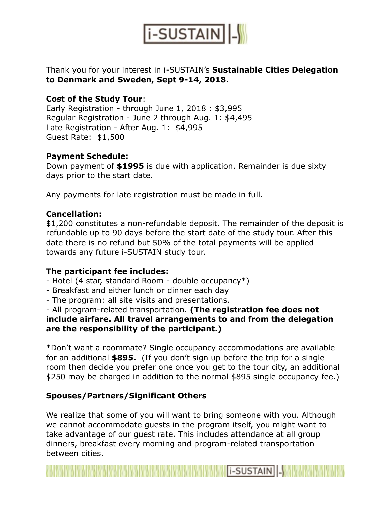

## Thank you for your interest in i-SUSTAIN's **Sustainable Cities Delegation to Denmark and Sweden, Sept 9-14, 2018**.

### **Cost of the Study Tour**:

Early Registration - through June 1, 2018 : \$3,995 Regular Registration - June 2 through Aug. 1: \$4,495 Late Registration - After Aug. 1: \$4,995 Guest Rate: \$1,500

#### **Payment Schedule:**

Down payment of **\$1995** is due with application. Remainder is due sixty days prior to the start date*.* 

Any payments for late registration must be made in full.

#### **Cancellation:**

\$1,200 constitutes a non-refundable deposit. The remainder of the deposit is refundable up to 90 days before the start date of the study tour. After this date there is no refund but 50% of the total payments will be applied towards any future i-SUSTAIN study tour.

#### **The participant fee includes:**

- Hotel (4 star, standard Room double occupancy\*)
- Breakfast and either lunch or dinner each day
- The program: all site visits and presentations.

- All program-related transportation. **(The registration fee does not include airfare. All travel arrangements to and from the delegation are the responsibility of the participant.)**

\*Don't want a roommate? Single occupancy accommodations are available for an additional **\$895.** (If you don't sign up before the trip for a single room then decide you prefer one once you get to the tour city, an additional \$250 may be charged in addition to the normal \$895 single occupancy fee.)

## **Spouses/Partners/Significant Others**

We realize that some of you will want to bring someone with you. Although we cannot accommodate guests in the program itself, you might want to take advantage of our guest rate. This includes attendance at all group dinners, breakfast every morning and program-related transportation between cities.

**WEBSTAIN -WEBSTAIN -WEBSTAIN -WEBSTAIN**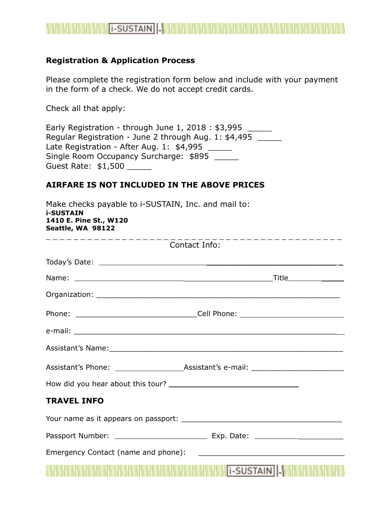

#### **Registration & Application Process**

Please complete the registration form below and include with your payment in the form of a check. We do not accept credit cards.

Check all that apply:

Early Registration - through June 1, 2018 : \$3,995 \_\_\_\_\_\_ Regular Registration - June 2 through Aug. 1: \$4,495 Late Registration - After Aug. 1: \$4,995 \_\_\_\_\_ Single Room Occupancy Surcharge: \$895 \_\_\_\_\_ Guest Rate: \$1,500 \_\_\_\_\_

#### **AIRFARE IS NOT INCLUDED IN THE ABOVE PRICES**

| Make checks payable to i-SUSTAIN, Inc. and mail to:<br><b>i-SUSTAIN</b><br>1410 E. Pine St., W120<br>Seattle, WA 98122<br>Contact Info:                                                                                        |  |  |  |
|--------------------------------------------------------------------------------------------------------------------------------------------------------------------------------------------------------------------------------|--|--|--|
|                                                                                                                                                                                                                                |  |  |  |
|                                                                                                                                                                                                                                |  |  |  |
|                                                                                                                                                                                                                                |  |  |  |
|                                                                                                                                                                                                                                |  |  |  |
|                                                                                                                                                                                                                                |  |  |  |
| Assistant's Name: 1988 Communication of the Communication of the Communication of the Communication of the Communication of the Communication of the Communication of the Communication of the Communication of the Communicat |  |  |  |
|                                                                                                                                                                                                                                |  |  |  |
|                                                                                                                                                                                                                                |  |  |  |
| <b>TRAVEL INFO</b>                                                                                                                                                                                                             |  |  |  |
|                                                                                                                                                                                                                                |  |  |  |
|                                                                                                                                                                                                                                |  |  |  |
|                                                                                                                                                                                                                                |  |  |  |
| <b>I-SUSTAIN</b>  -                                                                                                                                                                                                            |  |  |  |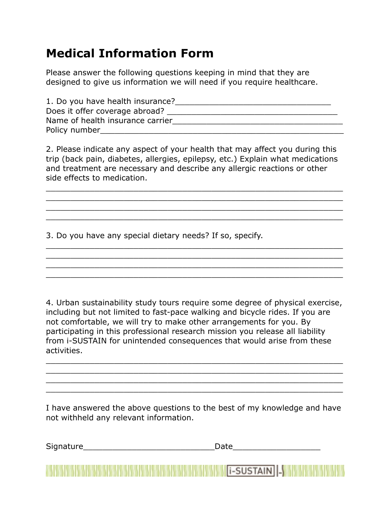# **Medical Information Form**

Please answer the following questions keeping in mind that they are designed to give us information we will need if you require healthcare.

| 1. Do you have health insurance? |
|----------------------------------|
| Does it offer coverage abroad?   |
| Name of health insurance carrier |
| Policy number                    |

2. Please indicate any aspect of your health that may affect you during this trip (back pain, diabetes, allergies, epilepsy, etc.) Explain what medications and treatment are necessary and describe any allergic reactions or other side effects to medication.

\_\_\_\_\_\_\_\_\_\_\_\_\_\_\_\_\_\_\_\_\_\_\_\_\_\_\_\_\_\_\_\_\_\_\_\_\_\_\_\_\_\_\_\_\_\_\_\_\_\_\_\_\_\_\_\_\_\_\_\_\_ \_\_\_\_\_\_\_\_\_\_\_\_\_\_\_\_\_\_\_\_\_\_\_\_\_\_\_\_\_\_\_\_\_\_\_\_\_\_\_\_\_\_\_\_\_\_\_\_\_\_\_\_\_\_\_\_\_\_\_\_\_ \_\_\_\_\_\_\_\_\_\_\_\_\_\_\_\_\_\_\_\_\_\_\_\_\_\_\_\_\_\_\_\_\_\_\_\_\_\_\_\_\_\_\_\_\_\_\_\_\_\_\_\_\_\_\_\_\_\_\_\_\_ \_\_\_\_\_\_\_\_\_\_\_\_\_\_\_\_\_\_\_\_\_\_\_\_\_\_\_\_\_\_\_\_\_\_\_\_\_\_\_\_\_\_\_\_\_\_\_\_\_\_\_\_\_\_\_\_\_\_\_\_\_

\_\_\_\_\_\_\_\_\_\_\_\_\_\_\_\_\_\_\_\_\_\_\_\_\_\_\_\_\_\_\_\_\_\_\_\_\_\_\_\_\_\_\_\_\_\_\_\_\_\_\_\_\_\_\_\_\_\_\_\_\_ \_\_\_\_\_\_\_\_\_\_\_\_\_\_\_\_\_\_\_\_\_\_\_\_\_\_\_\_\_\_\_\_\_\_\_\_\_\_\_\_\_\_\_\_\_\_\_\_\_\_\_\_\_\_\_\_\_\_\_\_\_ \_\_\_\_\_\_\_\_\_\_\_\_\_\_\_\_\_\_\_\_\_\_\_\_\_\_\_\_\_\_\_\_\_\_\_\_\_\_\_\_\_\_\_\_\_\_\_\_\_\_\_\_\_\_\_\_\_\_\_\_\_ \_\_\_\_\_\_\_\_\_\_\_\_\_\_\_\_\_\_\_\_\_\_\_\_\_\_\_\_\_\_\_\_\_\_\_\_\_\_\_\_\_\_\_\_\_\_\_\_\_\_\_\_\_\_\_\_\_\_\_\_\_

3. Do you have any special dietary needs? If so, specify.

4. Urban sustainability study tours require some degree of physical exercise, including but not limited to fast-pace walking and bicycle rides. If you are not comfortable, we will try to make other arrangements for you. By participating in this professional research mission you release all liability from i-SUSTAIN for unintended consequences that would arise from these activities.

\_\_\_\_\_\_\_\_\_\_\_\_\_\_\_\_\_\_\_\_\_\_\_\_\_\_\_\_\_\_\_\_\_\_\_\_\_\_\_\_\_\_\_\_\_\_\_\_\_\_\_\_\_\_\_\_\_\_\_\_\_ \_\_\_\_\_\_\_\_\_\_\_\_\_\_\_\_\_\_\_\_\_\_\_\_\_\_\_\_\_\_\_\_\_\_\_\_\_\_\_\_\_\_\_\_\_\_\_\_\_\_\_\_\_\_\_\_\_\_\_\_\_ \_\_\_\_\_\_\_\_\_\_\_\_\_\_\_\_\_\_\_\_\_\_\_\_\_\_\_\_\_\_\_\_\_\_\_\_\_\_\_\_\_\_\_\_\_\_\_\_\_\_\_\_\_\_\_\_\_\_\_\_\_ \_\_\_\_\_\_\_\_\_\_\_\_\_\_\_\_\_\_\_\_\_\_\_\_\_\_\_\_\_\_\_\_\_\_\_\_\_\_\_\_\_\_\_\_\_\_\_\_\_\_\_\_\_\_\_\_\_\_\_\_\_

I have answered the above questions to the best of my knowledge and have not withheld any relevant information.

| Signature | )ate |  |
|-----------|------|--|
|           |      |  |
|           |      |  |

**MARKET AND A REPORT OF A REPORT OF A REPORT OF A REPORT OF A REPORT OF A REPORT OF A REPORT OF A REPORT OF A REPORT OF A REPORT OF A REPORT OF A REPORT OF A REPORT OF A REPORT OF A REPORT OF A REPORT OF A REPORT OF A REPO**